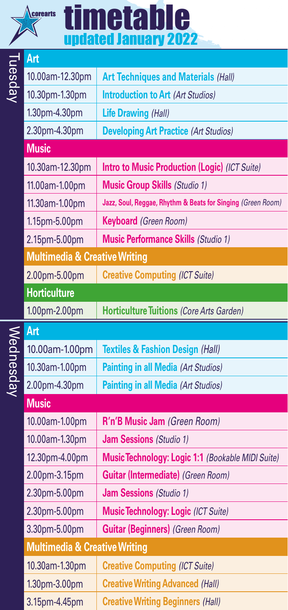|  | corearts |  |
|--|----------|--|
|  |          |  |
|  |          |  |
|  |          |  |

## timetable updated January 2022

|           | Art                                      |                                                             |  |  |
|-----------|------------------------------------------|-------------------------------------------------------------|--|--|
| Tuesday   | 10.00am-12.30pm                          | <b>Art Techniques and Materials (Hall)</b>                  |  |  |
|           | 10.30pm-1.30pm                           | <b>Introduction to Art (Art Studios)</b>                    |  |  |
|           | 1.30pm-4.30pm                            | <b>Life Drawing (Hall)</b>                                  |  |  |
|           | 2.30pm-4.30pm                            | <b>Developing Art Practice (Art Studios)</b>                |  |  |
|           | <b>Music</b>                             |                                                             |  |  |
|           | 10.30am-12.30pm                          | Intro to Music Production (Logic) (ICT Suite)               |  |  |
|           | 11.00am-1.00pm                           | <b>Music Group Skills (Studio 1)</b>                        |  |  |
|           | 11.30am-1.00pm                           | Jazz, Soul, Reggae, Rhythm & Beats for Singing (Green Room) |  |  |
|           | 1.15pm-5.00pm                            | <b>Keyboard</b> (Green Room)                                |  |  |
|           | 2.15pm-5.00pm                            | <b>Music Performance Skills (Studio 1)</b>                  |  |  |
|           | <b>Multimedia &amp; Creative Writing</b> |                                                             |  |  |
|           | 2.00pm-5.00pm                            | <b>Creative Computing (ICT Suite)</b>                       |  |  |
|           | <b>Horticulture</b>                      |                                                             |  |  |
|           | 1.00pm-2.00pm                            | <b>Horticulture Tuitions (Core Arts Garden)</b>             |  |  |
|           | Art                                      |                                                             |  |  |
| Wednesday | 10.00am-1.00pm                           | <b>Textiles &amp; Fashion Design (Hall)</b>                 |  |  |
|           | 10.30am-1.00pm                           | <b>Painting in all Media (Art Studios)</b>                  |  |  |
|           | 2.00pm-4.30pm                            | <b>Painting in all Media (Art Studios)</b>                  |  |  |
|           | <b>Music</b>                             |                                                             |  |  |
|           | 10.00am-1.00pm                           | R'n'B Music Jam (Green Room)                                |  |  |
|           | 10.00am-1.30pm                           | <b>Jam Sessions</b> (Studio 1)                              |  |  |
|           | 12.30pm-4.00pm                           | Music Technology: Logic 1:1 (Bookable MIDI Suite)           |  |  |
|           | 2.00pm-3.15pm                            | <b>Guitar (Intermediate) (Green Room)</b>                   |  |  |
|           | 2.30pm-5.00pm                            | <b>Jam Sessions</b> (Studio 1)                              |  |  |
|           | 2.30pm-5.00pm                            | <b>Music Technology: Logic (ICT Suite)</b>                  |  |  |
|           | 3.30pm-5.00pm                            | <b>Guitar (Beginners) (Green Room)</b>                      |  |  |
|           | <b>Multimedia &amp; Creative Writing</b> |                                                             |  |  |
|           | 10.30am-1.30pm                           | <b>Creative Computing (ICT Suite)</b>                       |  |  |
|           | 1.30pm-3.00pm                            | <b>Creative Writing Advanced (Hall)</b>                     |  |  |
|           | 3.15pm-4.45pm                            | <b>Creative Writing Beginners (Hall)</b>                    |  |  |